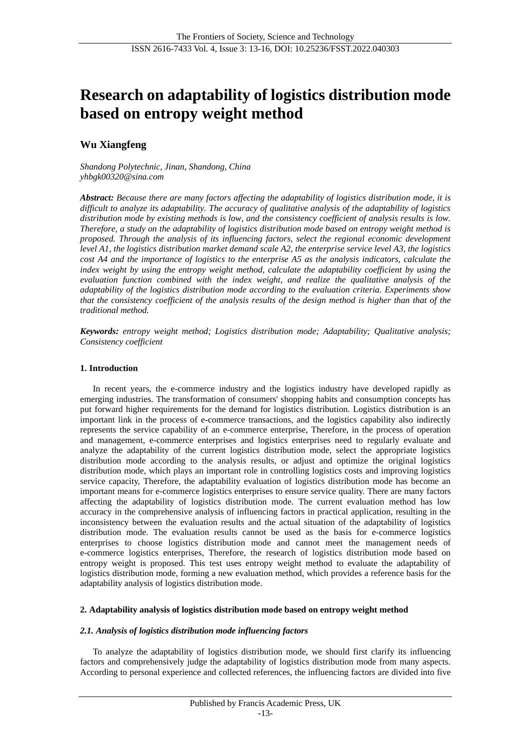# **Research on adaptability of logistics distribution mode based on entropy weight method**

## **Wu Xiangfeng**

*Shandong Polytechnic, Jinan, Shandong, China yhbgk00320@sina.com*

*Abstract: Because there are many factors affecting the adaptability of logistics distribution mode, it is difficult to analyze its adaptability. The accuracy of qualitative analysis of the adaptability of logistics distribution mode by existing methods is low, and the consistency coefficient of analysis results is low. Therefore, a study on the adaptability of logistics distribution mode based on entropy weight method is proposed. Through the analysis of its influencing factors, select the regional economic development level A1, the logistics distribution market demand scale A2, the enterprise service level A3, the logistics cost A4 and the importance of logistics to the enterprise A5 as the analysis indicators, calculate the index weight by using the entropy weight method, calculate the adaptability coefficient by using the evaluation function combined with the index weight, and realize the qualitative analysis of the adaptability of the logistics distribution mode according to the evaluation criteria. Experiments show that the consistency coefficient of the analysis results of the design method is higher than that of the traditional method.*

*Keywords: entropy weight method; Logistics distribution mode; Adaptability; Qualitative analysis; Consistency coefficient*

## **1. Introduction**

In recent years, the e-commerce industry and the logistics industry have developed rapidly as emerging industries. The transformation of consumers' shopping habits and consumption concepts has put forward higher requirements for the demand for logistics distribution. Logistics distribution is an important link in the process of e-commerce transactions, and the logistics capability also indirectly represents the service capability of an e-commerce enterprise, Therefore, in the process of operation and management, e-commerce enterprises and logistics enterprises need to regularly evaluate and analyze the adaptability of the current logistics distribution mode, select the appropriate logistics distribution mode according to the analysis results, or adjust and optimize the original logistics distribution mode, which plays an important role in controlling logistics costs and improving logistics service capacity, Therefore, the adaptability evaluation of logistics distribution mode has become an important means for e-commerce logistics enterprises to ensure service quality. There are many factors affecting the adaptability of logistics distribution mode. The current evaluation method has low accuracy in the comprehensive analysis of influencing factors in practical application, resulting in the inconsistency between the evaluation results and the actual situation of the adaptability of logistics distribution mode. The evaluation results cannot be used as the basis for e-commerce logistics enterprises to choose logistics distribution mode and cannot meet the management needs of e-commerce logistics enterprises, Therefore, the research of logistics distribution mode based on entropy weight is proposed. This test uses entropy weight method to evaluate the adaptability of logistics distribution mode, forming a new evaluation method, which provides a reference basis for the adaptability analysis of logistics distribution mode.

## **2. Adaptability analysis of logistics distribution mode based on entropy weight method**

## *2.1. Analysis of logistics distribution mode influencing factors*

To analyze the adaptability of logistics distribution mode, we should first clarify its influencing factors and comprehensively judge the adaptability of logistics distribution mode from many aspects. According to personal experience and collected references, the influencing factors are divided into five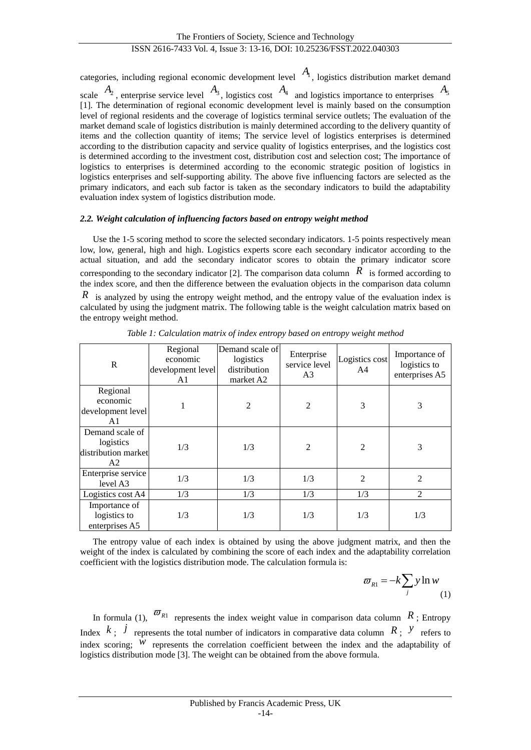categories, including regional economic development level *A*1 , logistics distribution market demand scale  $A_2$ , enterprise service level  $A_3$ , logistics cost  $A_4$  and logistics importance to enterprises  $A_5$ [1]. The determination of regional economic development level is mainly based on the consumption level of regional residents and the coverage of logistics terminal service outlets; The evaluation of the market demand scale of logistics distribution is mainly determined according to the delivery quantity of items and the collection quantity of items; The service level of logistics enterprises is determined according to the distribution capacity and service quality of logistics enterprises, and the logistics cost is determined according to the investment cost, distribution cost and selection cost; The importance of logistics to enterprises is determined according to the economic strategic position of logistics in logistics enterprises and self-supporting ability. The above five influencing factors are selected as the primary indicators, and each sub factor is taken as the secondary indicators to build the adaptability evaluation index system of logistics distribution mode.

## *2.2. Weight calculation of influencing factors based on entropy weight method*

Use the 1-5 scoring method to score the selected secondary indicators. 1-5 points respectively mean low, low, general, high and high. Logistics experts score each secondary indicator according to the actual situation, and add the secondary indicator scores to obtain the primary indicator score corresponding to the secondary indicator [2]. The comparison data column  $\overline{R}$  is formed according to the index score, and then the difference between the evaluation objects in the comparison data column *R* is analyzed by using the entropy weight method, and the entropy value of the evaluation index is calculated by using the judgment matrix. The following table is the weight calculation matrix based on the entropy weight method.

| R                                                         | Regional<br>economic<br>development level<br>A1 | Demand scale of<br>logistics<br>distribution<br>market A2 | Enterprise<br>service level<br>A <sub>3</sub> | Logistics cost<br>A4 | Importance of<br>logistics to<br>enterprises A5 |
|-----------------------------------------------------------|-------------------------------------------------|-----------------------------------------------------------|-----------------------------------------------|----------------------|-------------------------------------------------|
| Regional<br>economic<br>development level<br>A1           |                                                 | 2                                                         | $\overline{2}$                                | 3                    | 3                                               |
| Demand scale of<br>logistics<br>distribution market<br>A2 | 1/3                                             | 1/3                                                       | $\overline{2}$                                | $\overline{2}$       | 3                                               |
| Enterprise service<br>level A3                            | 1/3                                             | 1/3                                                       | 1/3                                           | 2                    | $\overline{2}$                                  |
| Logistics cost A4                                         | 1/3                                             | 1/3                                                       | 1/3                                           | 1/3                  | 2                                               |
| Importance of<br>logistics to<br>enterprises A5           | 1/3                                             | 1/3                                                       | 1/3                                           | 1/3                  | 1/3                                             |

*Table 1: Calculation matrix of index entropy based on entropy weight method*

The entropy value of each index is obtained by using the above judgment matrix, and then the weight of the index is calculated by combining the score of each index and the adaptability correlation coefficient with the logistics distribution mode. The calculation formula is:

$$
\varpi_{R1} = -k \sum_{j} y \ln w \tag{1}
$$

In formula (1),  $\overline{\omega}_{R1}$  represents the index weight value in comparison data column  $R$ ; Entropy Index  $k$ ;  $j$  represents the total number of indicators in comparative data column  $R$ ;  $\gamma$  refers to index scoring;  $W$  represents the correlation coefficient between the index and the adaptability of logistics distribution mode [3]. The weight can be obtained from the above formula.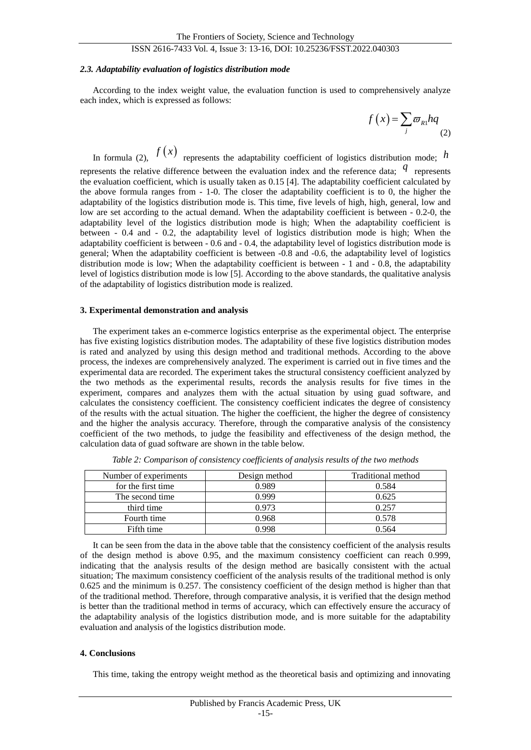## ISSN 2616-7433 Vol. 4, Issue 3: 13-16, DOI: 10.25236/FSST.2022.040303

### *2.3. Adaptability evaluation of logistics distribution mode*

According to the index weight value, the evaluation function is used to comprehensively analyze each index, which is expressed as follows:

$$
f(x) = \sum_{j} \varpi_{R1} hq
$$
 (2)

In formula (2),  $f(x)$  represents the adaptability coefficient of logistics distribution mode; h represents the relative difference between the evaluation index and the reference data;  $q$  represents the evaluation coefficient, which is usually taken as 0.15 [4]. The adaptability coefficient calculated by the above formula ranges from - 1-0. The closer the adaptability coefficient is to 0, the higher the adaptability of the logistics distribution mode is. This time, five levels of high, high, general, low and low are set according to the actual demand. When the adaptability coefficient is between - 0.2-0, the adaptability level of the logistics distribution mode is high; When the adaptability coefficient is between - 0.4 and - 0.2, the adaptability level of logistics distribution mode is high; When the adaptability coefficient is between - 0.6 and - 0.4, the adaptability level of logistics distribution mode is general; When the adaptability coefficient is between -0.8 and -0.6, the adaptability level of logistics distribution mode is low; When the adaptability coefficient is between - 1 and - 0.8, the adaptability level of logistics distribution mode is low [5]. According to the above standards, the qualitative analysis of the adaptability of logistics distribution mode is realized.

## **3. Experimental demonstration and analysis**

The experiment takes an e-commerce logistics enterprise as the experimental object. The enterprise has five existing logistics distribution modes. The adaptability of these five logistics distribution modes is rated and analyzed by using this design method and traditional methods. According to the above process, the indexes are comprehensively analyzed. The experiment is carried out in five times and the experimental data are recorded. The experiment takes the structural consistency coefficient analyzed by the two methods as the experimental results, records the analysis results for five times in the experiment, compares and analyzes them with the actual situation by using guad software, and calculates the consistency coefficient. The consistency coefficient indicates the degree of consistency of the results with the actual situation. The higher the coefficient, the higher the degree of consistency and the higher the analysis accuracy. Therefore, through the comparative analysis of the consistency coefficient of the two methods, to judge the feasibility and effectiveness of the design method, the calculation data of guad software are shown in the table below.

| Number of experiments | Design method | Traditional method |  |
|-----------------------|---------------|--------------------|--|
| for the first time    | 0.989         | 0.584              |  |
| The second time       | 0.999         | 0.625              |  |
| third time            | 0.973         | 0.257              |  |
| Fourth time           | 0.968         | 0.578              |  |
| Fifth time            | 0 998         | 0.564              |  |

*Table 2: Comparison of consistency coefficients of analysis results of the two methods*

It can be seen from the data in the above table that the consistency coefficient of the analysis results of the design method is above 0.95, and the maximum consistency coefficient can reach 0.999, indicating that the analysis results of the design method are basically consistent with the actual situation; The maximum consistency coefficient of the analysis results of the traditional method is only 0.625 and the minimum is 0.257. The consistency coefficient of the design method is higher than that of the traditional method. Therefore, through comparative analysis, it is verified that the design method is better than the traditional method in terms of accuracy, which can effectively ensure the accuracy of the adaptability analysis of the logistics distribution mode, and is more suitable for the adaptability evaluation and analysis of the logistics distribution mode.

### **4. Conclusions**

This time, taking the entropy weight method as the theoretical basis and optimizing and innovating